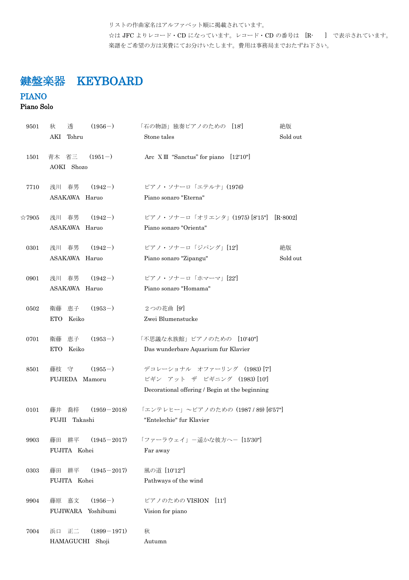リストの作曲家名はアルファベット順に掲載されています。 ☆は JFC よりレコード・CD になっています。レコード・CD の番号は [R- ] で表示されています。 楽譜をご希望の方は実費にてお分けいたします。費用は事務局までおたずね下さい。

# 鍵盤楽器 KEYBOARD

### PIANO

### Piano Solo

| 9501           | 透<br>$(1956-)$<br>秋         | 「石の物語」独奏ピアノのための [18]<br>絶版                     |
|----------------|-----------------------------|------------------------------------------------|
|                | Tohru<br>AKI                | Sold out<br>Stone tales                        |
| 1501           | 青木 省三<br>$(1951-)$          | Arc XIII "Sanctus" for piano [12'10"]          |
|                | AOKI Shozo                  |                                                |
| 7710           | 浅川 春男<br>$(1942-)$          | ピアノ・ソナーロ「エテルナ」(1976)                           |
|                | ASAKAWA Haruo               | Piano sonaro "Eterna"                          |
| $\approx 7905$ | $(1942-)$<br>浅川 春男          | ピアノ・ソナーロ「オリエンタ」(1975) [8'15"]<br>$[R - 8002]$  |
|                | ASAKAWA Haruo               | Piano sonaro "Orienta"                         |
| 0301           | 浅川 春男 (1942-)               | ピアノ・ソナーロ「ジパング」[12]<br>絶版                       |
|                | ASAKAWA Haruo               | Sold out<br>Piano sonaro "Zipangu"             |
| 0901           | $(1942-)$<br>浅川 春男          | ピアノ・ソナーロ「ホマーマ」[22]                             |
|                | ASAKAWA Haruo               | Piano sonaro "Homama"                          |
| 0502           | $(1953-)$<br>恵子<br>衛藤       | 2つの花曲 [9]                                      |
|                | <b>ETO</b><br>Keiko         | Zwei Blumenstucke                              |
| 0701           | $(1953-)$<br>衛藤<br>恵子       | 「不思議な水族館」ピアノのための [10'40"]                      |
|                | Keiko<br><b>ETO</b>         | Das wunderbare Aquarium fur Klavier            |
| 8501           | $(1955-)$<br>藤枝<br>守        | デコレーショナル オファーリング (1983) [7]                    |
|                | FUJIEDA Mamoru              | ビギン アット ザ ビギニング (1983) [10']                   |
|                |                             | Decorational offering / Begin at the beginning |
| 0101           | 喬梓<br>$(1959 - 2018)$<br>藤井 | 「エンテレヒー」 ~ピアノのための (1987 / 89) [6'57"]          |
|                | Takashi<br>FUJII            | "Entelechie" fur Klavier                       |
| 9903           | 耕平<br>$(1945 - 2017)$<br>藤田 | 「ファーラウェイ」-遥かな彼方へ- [15'30"]                     |
|                | FUJITA Kohei                | Far away                                       |
| 0303           | 耕平<br>$(1945 - 2017)$<br>藤田 | 風の道 [10'12"]                                   |
|                | FUJITA Kohei                | Pathways of the wind                           |
| 9904           | $(1956-)$<br>嘉文<br>藤原       | ピアノのための VISION<br>$\left[11\right]$            |
|                | FUJIWARA Yoshibumi          | Vision for piano                               |
| 7004           | $(1899 - 1971)$<br>浜口 正二    | 秋                                              |
|                | HAMAGUCHI<br>Shoji          | Autumn                                         |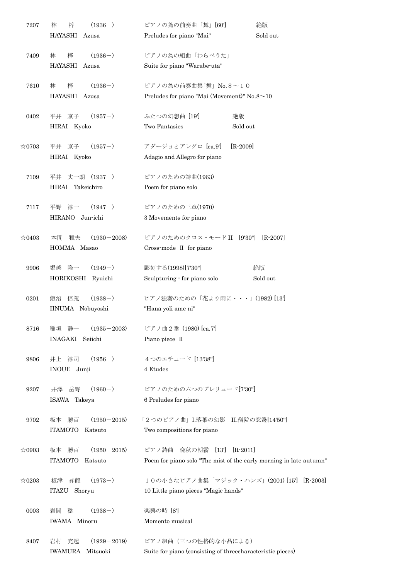| 7207           | 梓<br>$(1936-)$<br>林         | ピアノの為の前奏曲「舞」[60']                                                  | 絶版           |
|----------------|-----------------------------|--------------------------------------------------------------------|--------------|
|                | <b>HAYASHI</b><br>Azusa     | Preludes for piano "Mai"                                           | Sold out     |
| 7409           | $(1936-)$<br>梓<br>林         | ピアノの為の組曲「わらべうた」                                                    |              |
|                | <b>HAYASHI</b><br>Azusa     | Suite for piano "Warabe-uta"                                       |              |
| 7610           | $(1936-)$<br>梓<br>林         | ピアノの為の前奏曲集「舞」 No.8~10                                              |              |
|                | <b>HAYASHI</b><br>Azusa     | Preludes for piano "Mai (Movement)" No.8 $\sim$ 10                 |              |
| 0402           | $(1957-)$<br>京子<br>平井       | 絶版<br>ふたつの幻想曲 [19]                                                 |              |
|                | HIRAI Kyoko                 | Two Fantasies                                                      | Sold out     |
| $\approx 0703$ | $(1957-)$<br>京子<br>平井       | アダージョとアレグロ [ca.9']                                                 | $[R-2009]$   |
|                | HIRAI Kyoko                 | Adagio and Allegro for piano                                       |              |
| 7109           | 丈一朗 (1937-)<br>平井           | ピアノのための詩曲(1963)                                                    |              |
|                | HIRAI Takeichiro            | Poem for piano solo                                                |              |
| 7117           | $(1947-)$<br>淳一<br>平野       | ピアノのための三章(1970)                                                    |              |
|                | <b>HIRANO</b><br>Jun-ichi   | 3 Movements for piano                                              |              |
| $\approx 0403$ | 本間<br>雅夫<br>$(1930 - 2008)$ | ピアノのためのクロス・モードII [9'30"]                                           | $[R - 2007]$ |
|                | HOMMA Masao                 | Cross-mode II for piano                                            |              |
| 9906           | $(1949-)$<br>堀越<br>隆一       | 彫刻する(1998)[7'30"]                                                  | 絶版           |
|                | HORIKOSHI Ryuichi           | Sculpturing - for piano solo                                       | Sold out     |
| 0201           | 信義<br>$(1938-)$<br>飯沼       | ピアノ独奏のための「花より雨に・・・」(1982)[13']                                     |              |
|                | IINUMA Nobuyoshi            | "Hana yoli ame ni"                                                 |              |
| 8716           | 静一<br>$(1935 - 2003)$<br>稲垣 | ピアノ曲2番 (1980) [ca.7]                                               |              |
|                | INAGAKI<br>Seiichi          | Piano piece II                                                     |              |
| 9806           | $(1956-)$<br>井上 淳司          | 4つのエチュード [13'38"]                                                  |              |
|                | INOUE Junji                 | 4 Etudes                                                           |              |
| 9207           | $(1960-)$<br>岳野<br>井澤       | ピアノのための六つのプレリュード[7'30"]                                            |              |
|                | ISAWA Takeya                | 6 Preludes for piano                                               |              |
| 9702           | $(1950 - 2015)$<br>勝百<br>板本 | 「2つのピアノ曲」I.落葉の幻影 II.僧院の窓邊[14'50"]                                  |              |
|                | <b>ITAMOTO</b><br>Katsuto   | Two compositions for piano                                         |              |
| $\approx 0903$ | 勝百<br>$(1950 - 2015)$<br>板本 | 晩秋の朝霧 [13]<br>ピアノ詩曲                                                | $[R-2011]$   |
|                | <b>ITAMOTO</b><br>Katsuto   | Poem for piano solo "The mist of the early morning in late autumn" |              |
| $\approx 0203$ | $(1973-)$<br>昇龍<br>板津       | 10の小さなピアノ曲集「マジック・ハンズ」(2001)[15] [R-2003]                           |              |
|                | Shoryu<br>ITAZU             | 10 Little piano pieces "Magic hands"                               |              |
| 0003           | $(1938-)$<br>岩間<br>稔        | 楽興の時 [8]                                                           |              |
|                | IWAMA Minoru                | Momento musical                                                    |              |
| 8407           | $(1929 - 2019)$<br>岩村<br>充起 | ピアノ組曲 (三つの性格的な小品による)                                               |              |
|                | IWAMURA Mitsuoki            | Suite for piano (consisting of threecharacteristic pieces)         |              |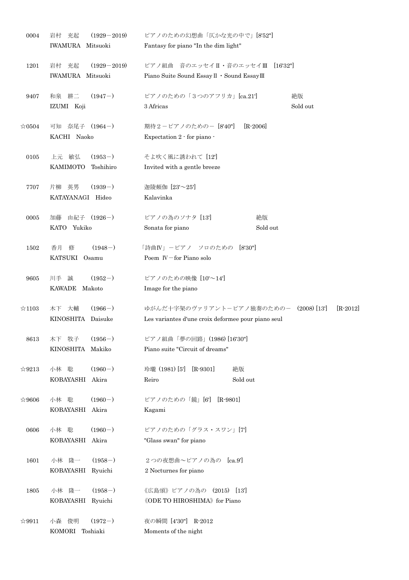| 0004           | $(1929 - 2019)$<br>岩村<br>充起<br>IWAMURA Mitsuoki | ピアノのための幻想曲「仄かな光の中で」[8'52"]<br>Fantasy for piano "In the dim light"                                        |
|----------------|-------------------------------------------------|-----------------------------------------------------------------------------------------------------------|
|                |                                                 |                                                                                                           |
| 1201           | 岩村 充起<br>$(1929 - 2019)$<br>IWAMURA Mitsuoki    | ピアノ組曲 音のエッセイⅡ·音のエッセイⅢ [16'32"]<br>Piano Suite Sound Essay II · Sound Essay III                            |
| 9407           | 和泉 耕二<br>$(1947-)$<br>IZUMI Koji                | ピアノのための「3つのアフリカ」[ca.21']<br>絶版<br>3 Africas<br>Sold out                                                   |
| $\approx 0504$ | 可知 奈尾子 (1964-)<br>KACHI Naoko                   | 期待2-ピアノのための- [8'40"]<br>$[R - 2006]$<br>Expectation $2$ $\cdot$ for piano $\cdot$                         |
| 0105           | $(1953-)$<br>上元 敏弘<br>KAMIMOTO<br>Toshihiro     | そよ吹く風に誘われて [12]<br>Invited with a gentle breeze                                                           |
| 7707           | $(1939-)$<br>片柳 英男<br>KATAYANAGI Hideo          | 迦陵頻伽 [23'~25']<br>Kalavinka                                                                               |
| 0005           | 由紀子 (1926-)<br>加藤<br>KATO Yukiko                | ピアノの為のソナタ [13]<br>絶版<br>Sonata for piano<br>Sold out                                                      |
| 1502           | $(1948-)$<br>香月<br>修<br>KATSUKI<br>Osamu        | 「詩曲IV」 ーピアノ ソロのための<br>[8'30"]<br>Poem IV-for Piano solo                                                   |
| 9605           | $(1952-)$<br>川手<br>誠<br>KAWADE Makoto           | ピアノのための映像 [10'~14']<br>Image for the piano                                                                |
| $\approx$ 1103 | $(1966-)$<br>木下 大輔<br>KINOSHITA<br>Daisuke      | ゆがんだ十字架のヴァリアントーピアノ独奏のためのー (2008) [13]<br>$[R-2012]$<br>Les variantes d'une croix deformee pour piano seul |
| 8613           | $(1956-)$<br>木下 牧子<br>KINOSHITA<br>Makiko       | ピアノ組曲「夢の回路」(1986) [16'30"]<br>Piano suite "Circuit of dreams"                                             |
| $\&$ 9213      | $(1960-)$<br>小林 聡<br>KOBAYASHI<br>Akira         | 玲瓏 (1981) [5]<br>$[R-9301]$<br>絶版<br>Sold out<br>Reiro                                                    |
| ☆9606          | $(1960-)$<br>小林 聡<br>KOBAYASHI Akira            | ピアノのための「鏡」[6'] [R-9801]<br>Kagami                                                                         |
| 0606           | $(1960-)$<br>小林 聡<br>KOBAYASHI Akira            | ピアノのための「グラス・スワン」[7]<br>"Glass swan" for piano                                                             |
| 1601           | $(1958-)$<br>小林 隆一<br>KOBAYASHI<br>Ryuichi      | 2つの夜想曲~ピアノの為の [ca.9']<br>2 Nocturnes for piano                                                            |
| 1805           | $(1958-)$<br>小林 隆一<br>KOBAYASHI<br>Ryuichi      | 《広島頌》ピアノの為の (2015) [13]<br><b>《ODE TO HIROSHIMA》</b> for Piano                                            |
| ☆9911          | $(1972-)$<br>小森 俊明<br>KOMORI<br>Toshiaki        | 夜の瞬間 [4'30"] R-2012<br>Moments of the night                                                               |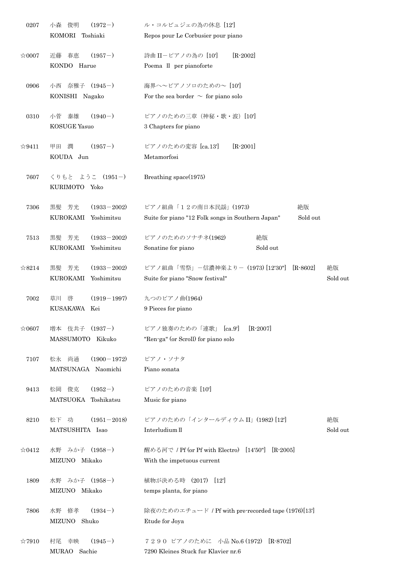| 0207           | $(1972-)$<br>俊明<br>小森         | ル・コルビュジェの為の休息 [12]                                            |  |
|----------------|-------------------------------|---------------------------------------------------------------|--|
|                | KOMORI<br>Toshiaki            | Repos pour Le Corbusier pour piano                            |  |
| $\approx 0007$ | $(1957-)$<br>近藤<br>春恵         | $[R-2002]$<br>詩曲 II-ピアノの為の [10']                              |  |
|                | KONDO Harue                   | Poema II per pianoforte                                       |  |
| 0906           | 奈雅子 (1945-)<br>小西             | 海界へ~ピアノソロのための~ [10]                                           |  |
|                | KONISHI Nagako                | For the sea border $\sim$ for piano solo                      |  |
| 0310           | $(1940-)$<br>小菅<br>泰雄         | ピアノのための三章(神秘・歌・波)[10']                                        |  |
|                | <b>KOSUGE Yasuo</b>           | 3 Chapters for piano                                          |  |
| ☆9411          | $(1957-)$<br>潤<br>甲田          | ピアノのための変容 [ca.13']<br>$[R-2001]$                              |  |
|                | KOUDA Jun                     | Metamorfosi                                                   |  |
| 7607           | ようこ (1951-)<br>くりもと           | Breathing space(1975)                                         |  |
|                | KURIMOTO Yoko                 |                                                               |  |
| 7306           | $(1933 - 2002)$<br>芳光<br>黒髪   | ピアノ組曲「12の南日本民謡」(1973)<br>絶版                                   |  |
|                | <b>KUROKAMI</b><br>Yoshimitsu | Suite for piano "12 Folk songs in Southern Japan"<br>Sold out |  |
| 7513           | 芳光<br>$(1933 - 2002)$<br>黒髪   | ピアノのためのソナチネ(1962)<br>絶版                                       |  |
|                | <b>KUROKAMI</b><br>Yoshimitsu | Sold out<br>Sonatine for piano                                |  |
| $\approx 8214$ | $(1933 - 2002)$<br>芳光<br>黒髪   | ピアノ組曲「雪祭」ー信濃神楽よりー (1973) [12'30"]<br>$[R-8602]$<br>絶版         |  |
|                | KUROKAMI Yoshimitsu           | Suite for piano "Snow festival"<br>Sold out                   |  |
| 7002           | $(1919 - 1997)$<br>草川 啓       | 九つのピアノ曲(1964)                                                 |  |
|                | KUSAKAWA<br>Kei               | 9 Pieces for piano                                            |  |
| ☆0607          | 増本 伎共子<br>$(1937-)$           | $[R - 2007]$<br>ピアノ独奏のための「連歌」<br>[ca.9]                       |  |
|                | MASSUMOTO Kikuko              | "Ren-ga" (or Scroll) for piano solo                           |  |
| 7107           | 尚通<br>$(1900 - 1972)$<br>松永   | ピアノ・ソナタ                                                       |  |
|                | MATSUNAGA Naomichi            | Piano sonata                                                  |  |
| 9413           | $(1952-)$<br>松岡<br>俊克         | ピアノのための音楽 [10']                                               |  |
|                | <b>MATSUOKA</b><br>Toshikatsu | Music for piano                                               |  |
| 8210           | $(1951 - 2018)$<br>松下<br>功    | ピアノのための「インタールディウム II」(1982)[12]<br>絶版                         |  |
|                | MATSUSHITA Isao               | Interludium II<br>Sold out                                    |  |
| $\approx 0412$ | 水野 みか子 (1958-)                | 醒める河で / Pf (or Pf with Electro) [14'50"]<br>$[R-2005]$        |  |
|                | MIZUNO Mikako                 | With the impetuous current                                    |  |
| 1809           | みか子 (1958-)<br>水野             | 植物が決める時 (2017)<br>[12]                                        |  |
|                | MIZUNO Mikako                 | temps planta, for piano                                       |  |
| 7806           | $(1934-)$<br>修孝<br>水野         | 除夜のためのエチュード / Pf with pre-recorded tape (1976)[13]            |  |
|                | MIZUNO<br>Shuko               | Etude for Joya                                                |  |
| $\approx 7910$ | $(1945-)$<br>村尾 幸映            | 7290 ピアノのために 小品 No.6 (1972)<br>$[R-8702]$                     |  |
|                | MURAO Sachie                  | 7290 Kleines Stuck fur Klavier nr.6                           |  |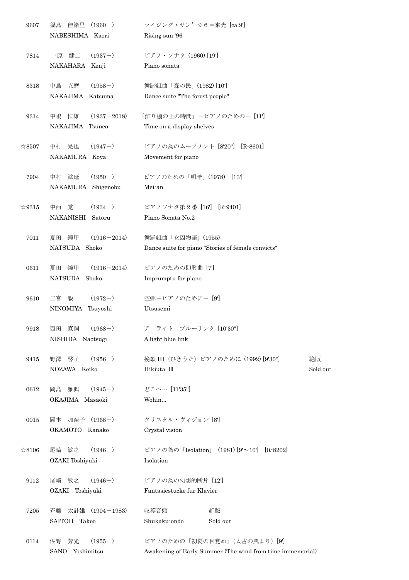| 9607           | 佳緒里<br>$(1960-)$<br>鍋島      | ライジング・サン' 96=来光 [ca.9']                                   |
|----------------|-----------------------------|-----------------------------------------------------------|
|                | NABESHIMA Kaori             | Rising sun '96                                            |
| 7814           | $(1937-)$<br>中原 健二          | ピアノ・ソナタ (1960) [19]                                       |
|                | NAKAHARA Kenji              | Piano sonata                                              |
| 8318           | $(1958-)$<br>中島 克磨          | 舞踏組曲「森の民」(1982)[10']                                      |
|                | NAKAJIMA Katsuma            | Dance suite "The forest people"                           |
| 9314           | 恒雄<br>$(1937 - 2018)$<br>中嶋 | 「飾り棚の上の時間」-ピアノのための- [11]                                  |
|                | NAKAJIMA<br>Tsuneo          | Time on a display shelves                                 |
| $\approx 8507$ | $(1947-)$<br>中村 晃也          | ピアノの為のムーブメント [8'20"] [R-8601]                             |
|                | NAKAMURA Koya               | Movement for piano                                        |
| 7904           | $(1950-)$<br>中村 滋延          | ピアノのための「明暗」(1978)<br>[13]                                 |
|                | Shigenobu<br>NAKAMURA       | Mei-an                                                    |
| $\approx 9315$ | $(1934-)$<br>中西<br>覚        | ピアノソナタ第2番 [16'] [R-9401]                                  |
|                | <b>NAKANISHI</b><br>Satoru  | Piano Sonata No.2                                         |
| 7011           | 夏田<br>鐘甲<br>$(1916 - 2014)$ | 舞踊組曲「女囚物語」(1955)                                          |
|                | NATSUDA Shoko               | Dance suite for piano "Stories of female convicts"        |
| 0611           | $(1916 - 2014)$<br>夏田<br>鐘甲 | ピアノのための即興曲 [7]                                            |
|                | NATSUDA Shoko               | Imprumptu for piano                                       |
| 9610           | $(1972-)$<br>二宮 毅           | 空蝉ーピアノのためにー[9]                                            |
|                | NINOMIYA Tsuyoshi           | Utsusemi                                                  |
| 9918           | $(1968-)$<br>直嗣<br>西田       | ア ライト ブルーリンク [10'30"]                                     |
|                | NISHIDA Naotsugi            | A light blue link                                         |
| 9415           | $(1956-)$<br>野澤 啓子          | 挽歌 III (ひきうた) ピアノのために (1992) [9'30"]<br>絶版                |
|                | NOZAWA Keiko                | Sold out<br>Hikiuta III                                   |
| 0612           | $(1945-)$<br>岡島 雅興          | どこへ… [11'35"]                                             |
|                | OKAJIMA Masaoki             | Wohin                                                     |
| 0015           | 岡本 加奈子 (1968-)              | クリスタル・ヴィジョン [8]                                           |
|                | OKAMOTO Kanako              | Crystal vision                                            |
| ☆8106          | 尾崎 敏之<br>$(1946-)$          | ピアノの為の「Isolation」 (1981) [9'~10'] [R-8202]                |
|                | OZAKI Toshiyuki             | Isolation                                                 |
| 9112           | $(1946-)$<br>尾崎 敏之          | ピアノの為の幻想的断片 [12]                                          |
|                | OZAKI Toshiyuki             | Fantasiestucke fur Klavier                                |
| 7205           | 太計雄 (1904-1983)<br>斉藤       | 絶版<br>収穫音頭                                                |
|                | SAITOH Takeo                | Shukaku-ondo<br>Sold out                                  |
| 0114           | $(1955-)$<br>芳光<br>佐野       | ピアノのための「初夏の目覚め」(太古の風より) [9]                               |
|                | SANO Yoshimitsu             | Awakening of Early Summer (The wind from time immemorial) |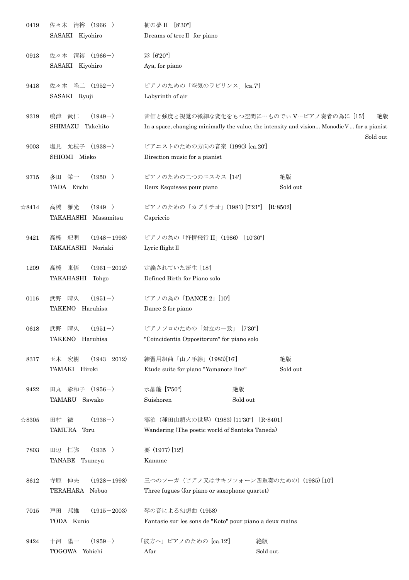| 0419           | 佐々木 清裕 (1966-)                                   | 樹の夢 II [8'30"]                                          |                                                                                                                                                            |
|----------------|--------------------------------------------------|---------------------------------------------------------|------------------------------------------------------------------------------------------------------------------------------------------------------------|
|                | SASAKI Kiyohiro                                  | Dreams of tree II for piano                             |                                                                                                                                                            |
| 0913           | 佐々木 清裕 (1966-)                                   | 彩 [6'20"]                                               |                                                                                                                                                            |
|                | SASAKI Kiyohiro                                  | Aya, for piano                                          |                                                                                                                                                            |
| 9418           | 佐々木 隆二 (1952-)                                   | ピアノのための「空気のラビリンス」[ca.7]                                 |                                                                                                                                                            |
|                | SASAKI Ryuji                                     | Labyrinth of air                                        |                                                                                                                                                            |
| 9319           | 武仁<br>$(1949-)$<br>嶋津<br>SHIMAZU Takehito        |                                                         | 音価と強度と視覚の微細な変化をもつ空間に…ものでぃV…ピアノ奏者の為に [15]<br>絶版<br>In a space, changing minimally the value, the intensity and vision Monodie $V$ for a pianist<br>Sold out |
| 9003           | 塩見 允枝子 (1938-)                                   | ピアニストのための方向の音楽 (1990) [ca.20']                          |                                                                                                                                                            |
|                | SHIOMI Mieko                                     | Direction music for a pianist                           |                                                                                                                                                            |
| 9715           | 多田 栄一<br>$(1950-)$                               | ピアノのための二つのエスキス [14]                                     | 絶版                                                                                                                                                         |
|                | TADA Eiichi                                      | Deux Esquisses pour piano                               | Sold out                                                                                                                                                   |
| $\approx 8414$ | 雅光<br>$(1949-)$<br>高橋<br>TAKAHASHI Masamitsu     | ピアノのための「カプリチオ」(1981) [7'21"] [R-8502]<br>Capriccio      |                                                                                                                                                            |
| 9421           | 紀明<br>$(1948 - 1998)$<br>高橋<br>TAKAHASHI Noriaki | ピアノの為の「抒情飛行 II」(1986) [10'30"]<br>Lyric flight II       |                                                                                                                                                            |
| 1209           | $(1961 - 2012)$<br>高橋<br>東悟                      | 定義されていた誕生 [18]                                          |                                                                                                                                                            |
|                | TAKAHASHI Tohgo                                  | Defined Birth for Piano solo                            |                                                                                                                                                            |
| 0116           | $(1951-)$<br>晴久<br>武野                            | ピアノの為の「DANCE 2」[10']                                    |                                                                                                                                                            |
|                | TAKENO Haruhisa                                  | Dance 2 for piano                                       |                                                                                                                                                            |
| 0618           | $(1951-)$<br>晴久<br>武野                            | ピアノソロのための「対立の一致」「7'30"                                  |                                                                                                                                                            |
|                | TAKENO Haruhisa                                  | "Coincidentia Oppositorum" for piano solo               |                                                                                                                                                            |
| 8317           | 玉木 宏樹<br>$(1943 - 2012)$                         | 練習用組曲「山ノ手線」(1983)[16]                                   | 絶版                                                                                                                                                         |
|                | TAMAKI Hiroki                                    | Etude suite for piano "Yamanote line"                   | Sold out                                                                                                                                                   |
| 9422           | 田丸 彩和子 (1956-)                                   | 水晶簾 [7'50"]<br>絶版                                       |                                                                                                                                                            |
|                | TAMARU Sawako                                    | Suishoren                                               | Sold out                                                                                                                                                   |
| $\approx 8305$ | $(1938-)$<br>田村 徹                                | 漂泊 (種田山頭火の世界) (1983) [11'30"] [R-8401]                  |                                                                                                                                                            |
|                | TAMURA Toru                                      | Wandering (The poetic world of Santoka Taneda)          |                                                                                                                                                            |
| 7803           | $(1935-)$<br>恒弥<br>田辺                            | 要 (1977) [12]                                           |                                                                                                                                                            |
|                | TANABE Tsuneya                                   | Kaname                                                  |                                                                                                                                                            |
| 8612           | $(1928 - 1998)$<br>寺原<br>伸夫                      | 三つのフーガ (ピアノ又はサキソフォーン四重奏のための) (1985) [10']               |                                                                                                                                                            |
|                | TERAHARA Nobuo                                   | Three fugues (for piano or saxophone quartet)           |                                                                                                                                                            |
| 7015           | 邦雄<br>$(1915 - 2003)$<br>戸田                      | 琴の音による幻想曲 (1958)                                        |                                                                                                                                                            |
|                | TODA Kunio                                       | Fantasie sur les sons de "Koto" pour piano a deux mains |                                                                                                                                                            |
| 9424           | $(1959-)$<br>十河 陽一                               | 「彼方へ」ピアノのための [ca.12']                                   | 絶版                                                                                                                                                         |
|                | TOGOWA Yohichi                                   | Afar                                                    | Sold out                                                                                                                                                   |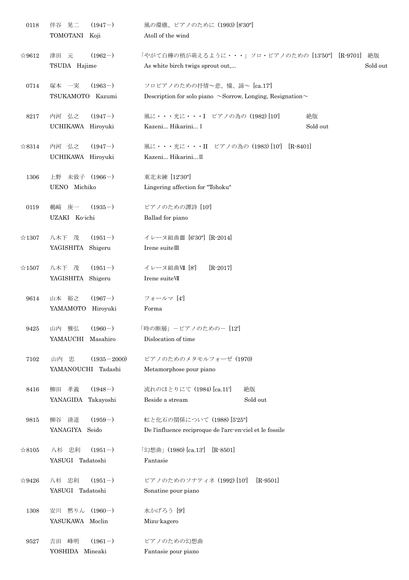| 0118           | 晃二<br>$(1947-)$<br>伴谷<br>TOMOTANI Koji        | 風の環礁、ピアノのために (1993) [8'30"]<br>Atoll of the wind                                                      |
|----------------|-----------------------------------------------|-------------------------------------------------------------------------------------------------------|
| $\approx 9612$ | 津田 元<br>$(1962-)$<br>TSUDA Hajime             | 「やがて白樺の梢が萌えるように・・・」ソロ・ピアノのための [13'50"] [R-9701]<br>絶版<br>Sold out<br>As white birch twigs sprout out, |
| 0714           | 塚本 一実<br>$(1963-)$<br>TSUKAMOTO Kazumi        | ソロピアノのための抒情~悲、憧、諦~ [ca.17]<br>Description for solo piano $\sim$ Sorrow, Longing, Resignation $\sim$   |
| 8217           | 内河 弘之<br>$(1947-)$<br>UCHIKAWA Hiroyuki       | 風に・・・光に・・・I ピアノの為の (1982) [10]<br>絶版<br>Sold out<br>Kazeni Hikarini I                                 |
| $\&8314$       | 内河 弘之<br>$(1947-)$<br>UCHIKAWA Hiroyuki       | 風に・・・光に・・・II ピアノの為の (1983) [10] [R-8401]<br>Kazeni Hikarini II                                        |
| 1306           | 未致子 (1966-)<br>上野<br>UENO Michiko             | 東北未練 [12'30"]<br>Lingering affection for "Tohoku"                                                     |
| 0119           | 鵜﨑 庚一<br>$(1935-)$<br>UZAKI Ko-ichi           | ピアノのための譚詩 [10]<br>Ballad for piano                                                                    |
| $\approx 1307$ | 八木下 茂<br>$(1951-)$<br>YAGISHITA Shigeru       | イレーヌ組曲Ⅲ [6'30"] [R-2014]<br>Irene suitell                                                             |
| $\approx 1507$ | $(1951-)$<br>八木下 茂<br>YAGISHITA Shigeru       | イレーヌ組曲VII [8']<br>$[R - 2017]$<br>Irene suiteVII                                                      |
| 9614           | 山本 裕之<br>$(1967-)$<br>YAMAMOTO<br>Hiroyuki    | フォールマ [4]<br>Forma                                                                                    |
| 9425           | 山内 雅弘<br>$(1960-)$<br>YAMAUCHI<br>Masahiro    | 「時の断層」ーピアノのためのー [12]<br>Dislocation of time                                                           |
| 7102           | 山内 忠<br>$(1935 - 2000)$<br>YAMANOUCHI Tadashi | ピアノのためのメタモルフォーゼ (1970)<br>Metamorphose pour piano                                                     |
| 8416           | 柳田 孝義<br>$(1948-)$<br>YANAGIDA Takayoshi      | 流れのほとりにて (1984) [ca.11']<br>絶版<br>Beside a stream<br>Sold out                                         |
| 9815           | 柳谷 清道<br>$(1959-)$<br>YANAGIYA<br>Seido       | 虹と化石の関係について (1988) [5'25"]<br>De l'influence reciproque de l'arc-en-ciel et le fossile                |
| $\approx 8105$ | $(1951-)$<br>八杉 忠利<br>YASUGI Tadatoshi        | 「幻想曲」(1980) [ca.13']<br>$[R-8501]$<br>Fantasie                                                        |
| $\approx 9426$ | $(1951-)$<br>八杉 忠利<br>YASUGI Tadatoshi        | ピアノのためのソナティネ (1992) [10]<br>$[R-9501]$<br>Sonatine pour piano                                         |
| 1308           | 安川 黙りん (1960-)<br>YASUKAWA Moclin             | 水かげろう [9]<br>Mizu-kagero                                                                              |
| 9527           | $(1961-)$<br>峰明<br>吉田<br>YOSHIDA<br>Mineaki   | ピアノのための幻想曲<br>Fantasie pour piano                                                                     |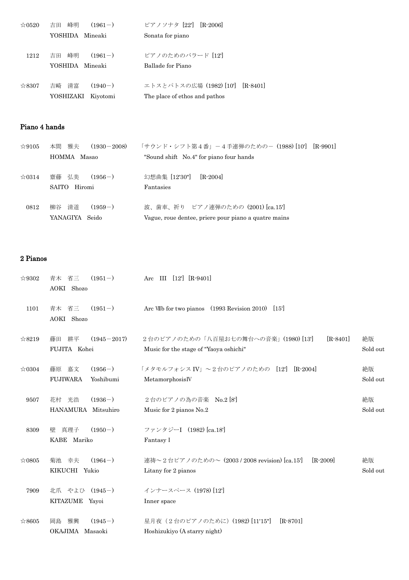| $\approx 0520$ | 峰明<br>$(1961-)$<br>吉田 | ピアノソナタ [22]<br>$[R-2006]$        |
|----------------|-----------------------|----------------------------------|
|                | YOSHIDA Mineaki       | Sonata for piano                 |
|                |                       |                                  |
| 1212           | 峰明<br>$(1961-)$<br>吉田 | ピアノのためのバラード [12]                 |
|                | YOSHIDA Mineaki       | Ballade for Piano                |
|                |                       |                                  |
| ☆8307          | 吉崎 清富<br>$(1940-)$    | エトスとパトスの広場 (1982) [10'] [R-8401] |
|                | YOSHIZAKI<br>Kiyotomi | The place of ethos and pathos    |

#### Piano 4 hands

| $\approx 9105$ | 雅夫<br>本間<br>$(1930 - 2008)$ | 「サウンド・シフト第4番」-4手連弾のための- (1988) [10'] [R-9901]        |
|----------------|-----------------------------|------------------------------------------------------|
|                | HOMMA Masao                 | "Sound shift No.4" for piano four hands              |
|                |                             |                                                      |
| $\approx 0314$ | 齋藤 弘美<br>$(1956-)$          | 幻想曲集 [12'30"]<br>$[R-2004]$                          |
|                | SAITO<br>Hiromi             | Fantasies                                            |
|                |                             |                                                      |
| 0812           | 清道<br>$(1959-)$<br>柳谷       | 波、歯車、祈り ピアノ連弾のための (2001) [ca.15']                    |
|                | YANAGIYA Seido              | Vague, roue dentee, priere pour piano a quatre mains |
|                |                             |                                                      |

#### 2 Pianos

| $\approx 9302$ | $(1951-)$<br>省三<br>青木<br>AOKI Shozo                | Arc III [12'] [R-9401]                                                                       |                |
|----------------|----------------------------------------------------|----------------------------------------------------------------------------------------------|----------------|
| 1101           | $(1951-)$<br>青木 省三<br>AOKI Shozo                   | Arc VIIb for two pianos (1993 Revision 2010)<br>$[15]$                                       |                |
| ☆8219          | 耕平<br>$(1945 - 2017)$<br>藤田<br>FUJITA Kohei        | 2台のピアノのための「八百屋お七の舞台への音楽」(1980)[13]<br>$[R - 8401]$<br>Music for the stage of "Yaoya oshichi" | 絶版<br>Sold out |
| $\approx 0304$ | $(1956-)$<br>藤原 嘉文<br>Yoshibumi<br><b>FUJIWARA</b> | 「メタモルフォシス IV」 ~2台のピアノのための [12] [R-2004]<br>MetamorphosisIV                                   | 絶版<br>Sold out |
| 9507           | $(1936-)$<br>花村 光浩<br>HANAMURA Mitsuhiro           | 2台のピアノの為の音楽 No.2 [8]<br>Music for 2 pianos No.2                                              | 絶版<br>Sold out |
| 8309           | $(1950-)$<br>真理子<br>壁<br>KABE Mariko               | ファンタジーI (1982) [ca.18']<br>Fantasy I                                                         |                |
| $\approx 0805$ | $(1964-)$<br>菊池 幸夫<br>KIKUCHI Yukio                | 連祷~2台ピアノのための~ (2003 / 2008 revision) [ca.15']<br>$[R-2009]$<br>Litany for 2 pianos           | 絶版<br>Sold out |
| 7909           | 北爪 やよひ (1945-)<br>KITAZUME Yayoi                   | インナースペース (1978) [12]<br>Inner space                                                          |                |
| ☆8605          | $(1945-)$<br>雅興<br>岡島<br>OKAJIMA Masaoki           | 星月夜 (2台のピアノのために) (1982) [11'15"]<br>$[R-8701]$<br>Hoshizukiyo (A starry night)               |                |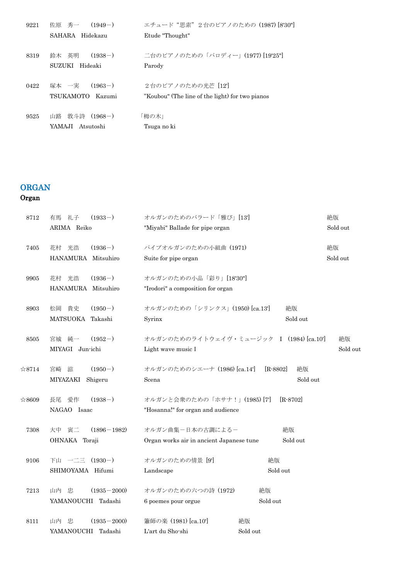| 佐原の秀一<br>$(1949-)$   | エチュード"思索"2台のピアノのための (1987) [8'30"]              |
|----------------------|-------------------------------------------------|
| SAHARA Hidekazu      | Etude "Thought"                                 |
| 鈴木 英明<br>$(1938-)$   | 二台のピアノのための「パロディー」(1977) [19'25"]                |
|                      | Parody                                          |
| 塚本 一実<br>$(1963-)$   | 2台のピアノのための光芒 [12]                               |
| TSUKAMOTO<br>Kazumi  | "Koubou" (The line of the light) for two pianos |
| 山路  敦斗詩<br>$(1968-)$ | 「栂の木」                                           |
| YAMAJI Atsutoshi     | Tsuga no ki                                     |
|                      | SUZUKI Hideaki                                  |

# ORGAN

# Organ

| 8712           | 礼子<br>$(1933-)$<br>有馬       | オルガンのためのバラード「雅び」[13]                     |                  | 絶版       |
|----------------|-----------------------------|------------------------------------------|------------------|----------|
|                | ARIMA Reiko                 | "Miyabi" Ballade for pipe organ          |                  | Sold out |
| 7405           | $(1936-)$<br>光浩<br>花村       | パイプオルガンのための小組曲 (1971)                    |                  | 絶版       |
|                | HANAMURA Mitsuhiro          | Suite for pipe organ                     |                  | Sold out |
| 9905           | $(1936-)$<br>光浩<br>花村       | オルガンのための小品「彩り」[18'30"]                   |                  |          |
|                | HANAMURA Mitsuhiro          | "Irodori" a composition for organ        |                  |          |
| 8903           | $(1950-)$<br>貴史<br>松岡       | オルガンのための「シリンクス」(1950) [ca.13']           | 絶版               |          |
|                | MATSUOKA<br>Takashi         | Syrinx                                   | Sold out         |          |
| 8505           | $(1952-)$<br>宮城 純一          | オルガンのためのライトウェイヴ・ミュージック I (1984) [ca.10'] |                  | 絶版       |
|                | MIYAGI Jun-ichi             | Light wave music I                       |                  | Sold out |
| $\approx 8714$ | $(1950-)$<br>滋<br>宮崎        | オルガンのためのシエーナ (1986) [ca.14']             | $[R-8802]$<br>絶版 |          |
|                | MIYAZAKI<br>Shigeru         | Scena                                    | Sold out         |          |
| ☆8609          | 長尾 愛作<br>$(1938-)$          | オルガンと会衆のための「ホサナ!」(1985)[7]               | $[R-8702]$       |          |
|                | NAGAO Isaac                 | "Hosanna!" for organ and audience        |                  |          |
| 7308           | 寅二<br>$(1896 - 1982)$<br>大中 | オルガン曲集ー日本の古調によるー                         | 絶版               |          |
|                | OHNAKA Toraji               | Organ works air in ancient Japanese tune | Sold out         |          |
| 9106           | $(1930-)$<br>下山 一二三         | オルガンのための情景 [9]                           | 絶版               |          |
|                | SHIMOYAMA Hifumi            | Landscape                                | Sold out         |          |
| 7213           | 山内 忠<br>$(1935 - 2000)$     | オルガンのための六つの詩 (1972)                      | 絶版               |          |
|                | Tadashi<br>YAMANOUCHI       | 6 poemes pour orgue                      | Sold out         |          |
| 8111           | $(1935 - 2000)$<br>山内 忠     | 簫師の楽 (1981) [ca.10']                     | 絶版               |          |
|                | YAMANOUCHI Tadashi          | L'art du Sho-shi                         | Sold out         |          |